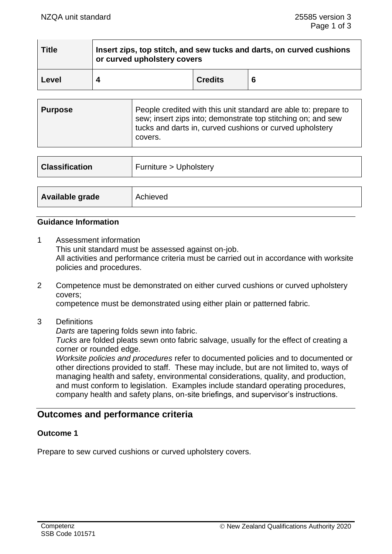| <b>Title</b> | Insert zips, top stitch, and sew tucks and darts, on curved cushions<br>or curved upholstery covers |                |   |
|--------------|-----------------------------------------------------------------------------------------------------|----------------|---|
| Level        |                                                                                                     | <b>Credits</b> | 6 |

| Purpose | People credited with this unit standard are able to: prepare to<br>sew; insert zips into; demonstrate top stitching on; and sew<br>tucks and darts in, curved cushions or curved upholstery<br>covers. |
|---------|--------------------------------------------------------------------------------------------------------------------------------------------------------------------------------------------------------|
|---------|--------------------------------------------------------------------------------------------------------------------------------------------------------------------------------------------------------|

| <b>Classification</b> | Furniture > Upholstery |
|-----------------------|------------------------|
|                       |                        |
| Available grade       | Achieved               |

## **Guidance Information**

- 1 Assessment information This unit standard must be assessed against on-job. All activities and performance criteria must be carried out in accordance with worksite policies and procedures.
- 2 Competence must be demonstrated on either curved cushions or curved upholstery covers; competence must be demonstrated using either plain or patterned fabric.
- 3 Definitions
	- *Darts* are tapering folds sewn into fabric.

*Tucks* are folded pleats sewn onto fabric salvage, usually for the effect of creating a corner or rounded edge.

*Worksite policies and procedures* refer to documented policies and to documented or other directions provided to staff. These may include, but are not limited to, ways of managing health and safety, environmental considerations, quality, and production, and must conform to legislation. Examples include standard operating procedures, company health and safety plans, on-site briefings, and supervisor's instructions.

# **Outcomes and performance criteria**

## **Outcome 1**

Prepare to sew curved cushions or curved upholstery covers.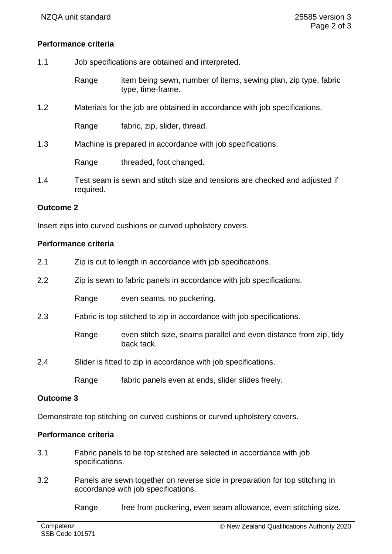## **Performance criteria**

- 1.1 Job specifications are obtained and interpreted.
	- Range item being sewn, number of items, sewing plan, zip type, fabric type, time-frame.
- 1.2 Materials for the job are obtained in accordance with job specifications.

Range fabric, zip, slider, thread.

1.3 Machine is prepared in accordance with job specifications.

Range threaded, foot changed.

1.4 Test seam is sewn and stitch size and tensions are checked and adjusted if required.

### **Outcome 2**

Insert zips into curved cushions or curved upholstery covers.

## **Performance criteria**

- 2.1 Zip is cut to length in accordance with job specifications.
- 2.2 Zip is sewn to fabric panels in accordance with job specifications.

Range even seams, no puckering.

2.3 Fabric is top stitched to zip in accordance with job specifications.

Range even stitch size, seams parallel and even distance from zip, tidy back tack.

2.4 Slider is fitted to zip in accordance with job specifications.

Range fabric panels even at ends, slider slides freely.

#### **Outcome 3**

Demonstrate top stitching on curved cushions or curved upholstery covers.

## **Performance criteria**

- 3.1 Fabric panels to be top stitched are selected in accordance with job specifications.
- 3.2 Panels are sewn together on reverse side in preparation for top stitching in accordance with job specifications.

Range free from puckering, even seam allowance, even stitching size.